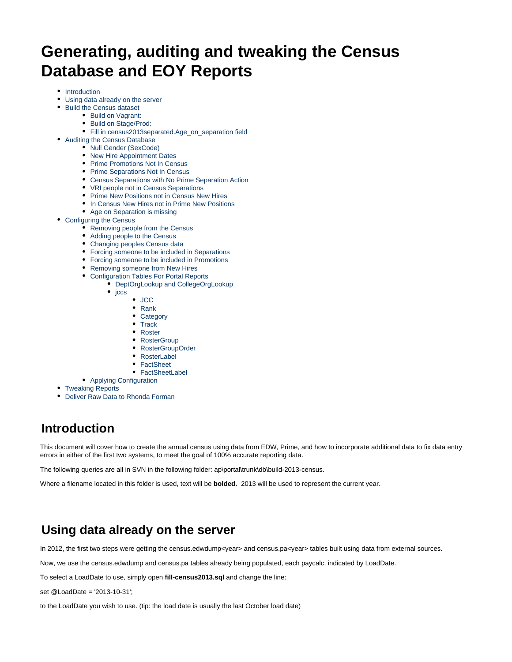# **Generating, auditing and tweaking the Census Database and EOY Reports**

- [Introduction](#page-0-0)
- [Using data already on the server](#page-0-1)
- [Build the Census dataset](#page-1-0)
	- [Build on Vagrant:](#page-1-1)
	- [Build on Stage/Prod:](#page-1-2)
	- [Fill in census2013separated.Age\\_on\\_separation field](#page-1-3)
- [Auditing the Census Database](#page-2-0)
	- [Null Gender \(SexCode\)](#page-2-1)
	- [New Hire Appointment Dates](#page-2-2)
	- [Prime Promotions Not In Census](#page-2-3)
	- [Prime Separations Not In Census](#page-2-4)
	- [Census Separations with No Prime Separation Action](#page-3-0)
	- [VRI people not in Census Separations](#page-3-1)
	- [Prime New Positions not in Census New Hires](#page-3-2)
	- [In Census New Hires not in Prime New Positions](#page-3-3)
	- [Age on Separation is missing](#page-4-0)
- [Configuring the Census](#page-4-1)
	- [Removing people from the Census](#page-4-2)
	- [Adding people to the Census](#page-4-3)
	- [Changing peoples Census data](#page-4-4)
	- [Forcing someone to be included in Separations](#page-4-5)
	- [Forcing someone to be included in Promotions](#page-5-0)
	- [Removing someone from New Hires](#page-5-1)
	- [Configuration Tables For Portal Reports](#page-5-2)
		- [DeptOrgLookup and CollegeOrgLookup](#page-5-3)  $\bullet$  [jccs](#page-5-4)
			- - [JCC](#page-5-5)
				- [Rank](#page-5-6) • [Category](#page-5-7)
				- [Track](#page-5-8)
				- [Roster](#page-6-0)
				- [RosterGroup](#page-6-1)
				- [RosterGroupOrder](#page-6-2)
				- [RosterLabel](#page-6-3)
				- [FactSheet](#page-6-4)
				- [FactSheetLabel](#page-6-5)
	- [Applying Configuration](#page-6-6)
- [Tweaking Reports](#page-6-7)
- [Deliver Raw Data to Rhonda Forman](#page-7-0)

# <span id="page-0-0"></span>**Introduction**

This document will cover how to create the annual census using data from EDW, Prime, and how to incorporate additional data to fix data entry errors in either of the first two systems, to meet the goal of 100% accurate reporting data.

The following queries are all in SVN in the following folder: ap\portal\trunk\db\build-2013-census.

Where a filename located in this folder is used, text will be **bolded.** 2013 will be used to represent the current year.

# <span id="page-0-1"></span>**Using data already on the server**

In 2012, the first two steps were getting the census.edwdump<year> and census.pa<year> tables built using data from external sources.

Now, we use the census.edwdump and census.pa tables already being populated, each paycalc, indicated by LoadDate.

To select a LoadDate to use, simply open **fill-census2013.sql** and change the line:

set @LoadDate = '2013-10-31';

to the LoadDate you wish to use. (tip: the load date is usually the last October load date)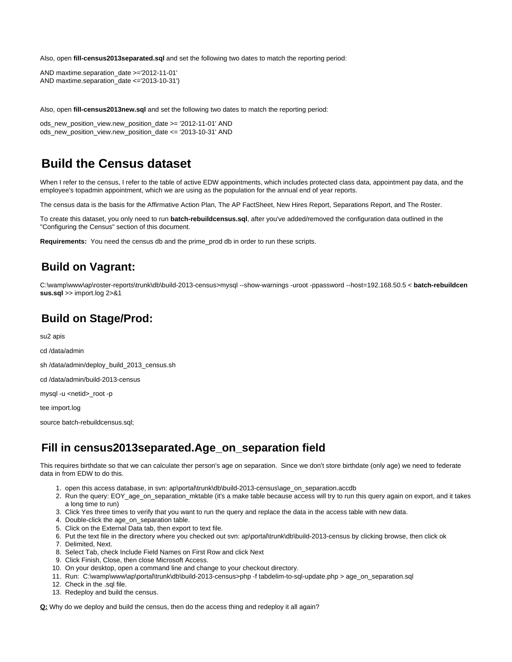Also, open **fill-census2013separated.sql** and set the following two dates to match the reporting period:

AND maxtime.separation\_date >='2012-11-01' AND maxtime.separation\_date <='2013-10-31')

Also, open **fill-census2013new.sql** and set the following two dates to match the reporting period:

ods\_new\_position\_view.new\_position\_date >= '2012-11-01' AND ods\_new\_position\_view.new\_position\_date <= '2013-10-31' AND

# <span id="page-1-0"></span>**Build the Census dataset**

When I refer to the census, I refer to the table of active EDW appointments, which includes protected class data, appointment pay data, and the employee's topadmin appointment, which we are using as the population for the annual end of year reports.

The census data is the basis for the Affirmative Action Plan, The AP FactSheet, New Hires Report, Separations Report, and The Roster.

To create this dataset, you only need to run **batch-rebuildcensus.sql**, after you've added/removed the configuration data outlined in the "Configuring the Census" section of this document.

**Requirements:** You need the census db and the prime\_prod db in order to run these scripts.

## <span id="page-1-1"></span>**Build on Vagrant:**

C:\wamp\www\ap\roster-reports\trunk\db\build-2013-census>mysql --show-warnings -uroot -ppassword --host=192.168.50.5 < **batch-rebuildcen sus.sql** >> import.log 2>&1

## <span id="page-1-2"></span>**Build on Stage/Prod:**

su2 apis

cd /data/admin

sh /data/admin/deploy\_build\_2013\_census.sh

cd /data/admin/build-2013-census

mysql -u <netid>\_root -p

tee import.log

source batch-rebuildcensus.sql;

## <span id="page-1-3"></span>**Fill in census2013separated.Age\_on\_separation field**

This requires birthdate so that we can calculate ther person's age on separation. Since we don't store birthdate (only age) we need to federate data in from EDW to do this.

- 1. open this access database, in svn: ap\portal\trunk\db\build-2013-census\age\_on\_separation.accdb
- 2. Run the query: EOY\_age\_on\_separation\_mktable (it's a make table because access will try to run this query again on export, and it takes a long time to run)
- 3. Click Yes three times to verify that you want to run the query and replace the data in the access table with new data.
- 4. Double-click the age\_on\_separation table.
- 5. Click on the External Data tab, then export to text file.
- 6. Put the text file in the directory where you checked out svn: ap\portal\trunk\db\build-2013-census by clicking browse, then click ok
- 7. Delimited, Next.
- 8. Select Tab, check Include Field Names on First Row and click Next
- 9. Click Finish, Close, then close Microsoft Access.
- 10. On your desktop, open a command line and change to your checkout directory.
- 11. Run: C:\wamp\www\ap\portal\trunk\db\build-2013-census>php -f tabdelim-to-sql-update.php > age\_on\_separation.sql
- 12. Check in the .sql file.
- 13. Redeploy and build the census.

**Q:** Why do we deploy and build the census, then do the access thing and redeploy it all again?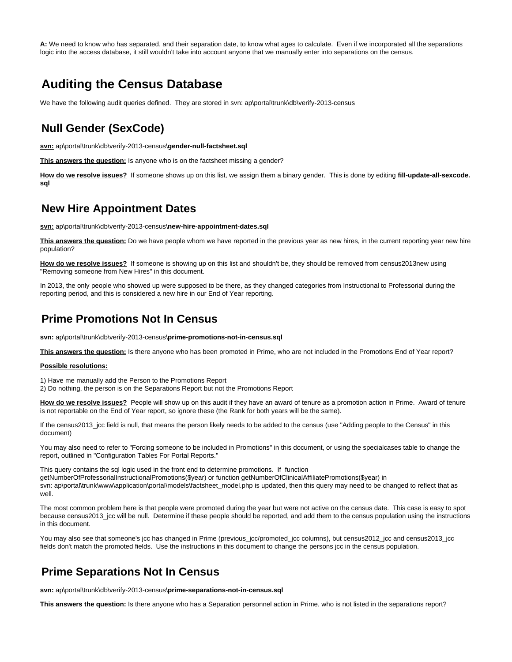**A:** We need to know who has separated, and their separation date, to know what ages to calculate. Even if we incorporated all the separations logic into the access database, it still wouldn't take into account anyone that we manually enter into separations on the census.

# <span id="page-2-0"></span>**Auditing the Census Database**

We have the following audit queries defined. They are stored in svn: ap\portal\trunk\db\verify-2013-census

## <span id="page-2-1"></span>**Null Gender (SexCode)**

**svn:** ap\portal\trunk\db\verify-2013-census\**gender-null-factsheet.sql**

This answers the question: Is anyone who is on the factsheet missing a gender?

**How do we resolve issues?** If someone shows up on this list, we assign them a binary gender. This is done by editing **fill-update-all-sexcode. sql**

### <span id="page-2-2"></span>**New Hire Appointment Dates**

**svn:** ap\portal\trunk\db\verify-2013-census\**new-hire-appointment-dates.sql**

**This answers the question:** Do we have people whom we have reported in the previous year as new hires, in the current reporting year new hire population?

How do we resolve issues? If someone is showing up on this list and shouldn't be, they should be removed from census2013new using "Removing someone from New Hires" in this document.

In 2013, the only people who showed up were supposed to be there, as they changed categories from Instructional to Professorial during the reporting period, and this is considered a new hire in our End of Year reporting.

## <span id="page-2-3"></span>**Prime Promotions Not In Census**

**svn:** ap\portal\trunk\db\verify-2013-census\**prime-promotions-not-in-census.sql**

**This answers the question:** Is there anyone who has been promoted in Prime, who are not included in the Promotions End of Year report?

#### **Possible resolutions:**

1) Have me manually add the Person to the Promotions Report

2) Do nothing, the person is on the Separations Report but not the Promotions Report

**How do we resolve issues?** People will show up on this audit if they have an award of tenure as a promotion action in Prime. Award of tenure is not reportable on the End of Year report, so ignore these (the Rank for both years will be the same).

If the census2013\_jcc field is null, that means the person likely needs to be added to the census (use "Adding people to the Census" in this document)

You may also need to refer to "Forcing someone to be included in Promotions" in this document, or using the specialcases table to change the report, outlined in "Configuration Tables For Portal Reports."

This query contains the sql logic used in the front end to determine promotions. If function getNumberOfProfessorialInstructionalPromotions(\$year) or function getNumberOfClinicalAffiliatePromotions(\$year) in svn: ap\portal\trunk\www\application\portal\models\factsheet\_model.php is updated, then this query may need to be changed to reflect that as well.

The most common problem here is that people were promoted during the year but were not active on the census date. This case is easy to spot because census2013\_jcc will be null. Determine if these people should be reported, and add them to the census population using the instructions in this document.

You may also see that someone's jcc has changed in Prime (previous\_jcc/promoted\_jcc columns), but census2012\_jcc and census2013\_jcc fields don't match the promoted fields. Use the instructions in this document to change the persons jcc in the census population.

## <span id="page-2-4"></span>**Prime Separations Not In Census**

**svn:** ap\portal\trunk\db\verify-2013-census\**prime-separations-not-in-census.sql**

**This answers the question:** Is there anyone who has a Separation personnel action in Prime, who is not listed in the separations report?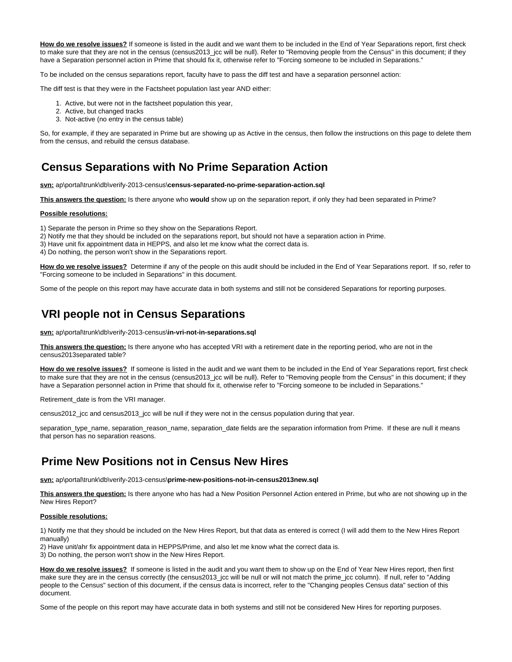**How do we resolve issues?** If someone is listed in the audit and we want them to be included in the End of Year Separations report, first check to make sure that they are not in the census (census2013\_jcc will be null). Refer to "Removing people from the Census" in this document; if they have a Separation personnel action in Prime that should fix it, otherwise refer to "Forcing someone to be included in Separations."

To be included on the census separations report, faculty have to pass the diff test and have a separation personnel action:

The diff test is that they were in the Factsheet population last year AND either:

- 1. Active, but were not in the factsheet population this year,
- 2. Active, but changed tracks
- 3. Not-active (no entry in the census table)

So, for example, if they are separated in Prime but are showing up as Active in the census, then follow the instructions on this page to delete them from the census, and rebuild the census database.

## <span id="page-3-0"></span>**Census Separations with No Prime Separation Action**

**svn:** ap\portal\trunk\db\verify-2013-census\**census-separated-no-prime-separation-action.sql**

**This answers the question:** Is there anyone who **would** show up on the separation report, if only they had been separated in Prime?

#### **Possible resolutions:**

1) Separate the person in Prime so they show on the Separations Report.

2) Notify me that they should be included on the separations report, but should not have a separation action in Prime.

3) Have unit fix appointment data in HEPPS, and also let me know what the correct data is.

4) Do nothing, the person won't show in the Separations report.

**How do we resolve issues?** Determine if any of the people on this audit should be included in the End of Year Separations report. If so, refer to "Forcing someone to be included in Separations" in this document.

Some of the people on this report may have accurate data in both systems and still not be considered Separations for reporting purposes.

## <span id="page-3-1"></span>**VRI people not in Census Separations**

**svn:** ap\portal\trunk\db\verify-2013-census\**in-vri-not-in-separations.sql**

**This answers the question:** Is there anyone who has accepted VRI with a retirement date in the reporting period, who are not in the census2013separated table?

How do we resolve issues? If someone is listed in the audit and we want them to be included in the End of Year Separations report, first check to make sure that they are not in the census (census2013\_jcc will be null). Refer to "Removing people from the Census" in this document; if they have a Separation personnel action in Prime that should fix it, otherwise refer to "Forcing someone to be included in Separations."

Retirement\_date is from the VRI manager.

census2012\_jcc and census2013\_jcc will be null if they were not in the census population during that year.

separation\_type\_name, separation\_reason\_name, separation\_date fields are the separation information from Prime. If these are null it means that person has no separation reasons.

### <span id="page-3-2"></span>**Prime New Positions not in Census New Hires**

**svn:** ap\portal\trunk\db\verify-2013-census\**prime-new-positions-not-in-census2013new.sql**

**This answers the question:** Is there anyone who has had a New Position Personnel Action entered in Prime, but who are not showing up in the New Hires Report?

#### **Possible resolutions:**

1) Notify me that they should be included on the New Hires Report, but that data as entered is correct (I will add them to the New Hires Report manually)

2) Have unit/ahr fix appointment data in HEPPS/Prime, and also let me know what the correct data is.

3) Do nothing, the person won't show in the New Hires Report.

**How do we resolve issues?** If someone is listed in the audit and you want them to show up on the End of Year New Hires report, then first make sure they are in the census correctly (the census2013\_jcc will be null or will not match the prime\_jcc column). If null, refer to "Adding people to the Census" section of this document, if the census data is incorrect, refer to the "Changing peoples Census data" section of this document.

<span id="page-3-3"></span>Some of the people on this report may have accurate data in both systems and still not be considered New Hires for reporting purposes.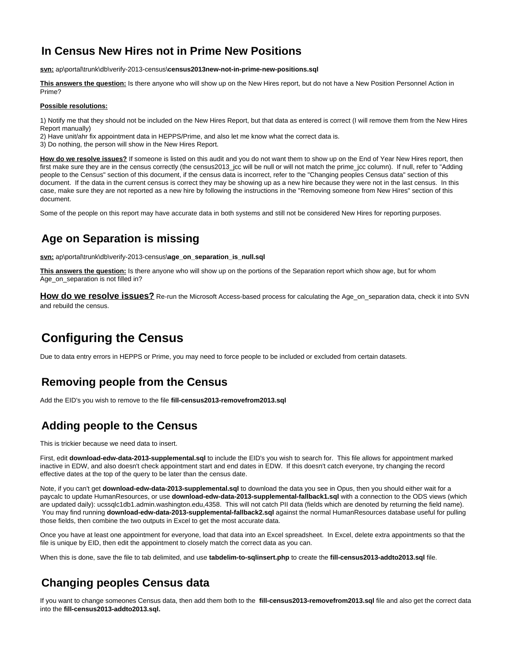# **In Census New Hires not in Prime New Positions**

**svn:** ap\portal\trunk\db\verify-2013-census\**census2013new-not-in-prime-new-positions.sql**

**This answers the question:** Is there anyone who will show up on the New Hires report, but do not have a New Position Personnel Action in Prime?

#### **Possible resolutions:**

1) Notify me that they should not be included on the New Hires Report, but that data as entered is correct (I will remove them from the New Hires Report manually)

- 2) Have unit/ahr fix appointment data in HEPPS/Prime, and also let me know what the correct data is.
- 3) Do nothing, the person will show in the New Hires Report.

**How do we resolve issues?** If someone is listed on this audit and you do not want them to show up on the End of Year New Hires report, then first make sure they are in the census correctly (the census2013\_jcc will be null or will not match the prime\_jcc column). If null, refer to "Adding people to the Census" section of this document, if the census data is incorrect, refer to the "Changing peoples Census data" section of this document. If the data in the current census is correct they may be showing up as a new hire because they were not in the last census. In this case, make sure they are not reported as a new hire by following the instructions in the "Removing someone from New Hires" section of this document.

Some of the people on this report may have accurate data in both systems and still not be considered New Hires for reporting purposes.

# <span id="page-4-0"></span>**Age on Separation is missing**

**svn:** ap\portal\trunk\db\verify-2013-census\**age\_on\_separation\_is\_null.sql**

**This answers the question:** Is there anyone who will show up on the portions of the Separation report which show age, but for whom Age\_on\_separation is not filled in?

**How do we resolve issues?** Re-run the Microsoft Access-based process for calculating the Age\_on\_separation data, check it into SVN and rebuild the census.

# <span id="page-4-1"></span>**Configuring the Census**

Due to data entry errors in HEPPS or Prime, you may need to force people to be included or excluded from certain datasets.

# <span id="page-4-2"></span>**Removing people from the Census**

Add the EID's you wish to remove to the file **fill-census2013-removefrom2013.sql**

# <span id="page-4-3"></span>**Adding people to the Census**

This is trickier because we need data to insert.

First, edit **download-edw-data-2013-supplemental.sql** to include the EID's you wish to search for. This file allows for appointment marked inactive in EDW, and also doesn't check appointment start and end dates in EDW. If this doesn't catch everyone, try changing the record effective dates at the top of the query to be later than the census date.

Note, if you can't get **download-edw-data-2013-supplemental.sql** to download the data you see in Opus, then you should either wait for a paycalc to update HumanResources, or use **download-edw-data-2013-supplemental-fallback1.sql** with a connection to the ODS views (which are updated daily): ucssqlc1db1.admin.washington.edu,4358. This will not catch PII data (fields which are denoted by returning the field name). You may find running **download-edw-data-2013-supplemental-fallback2.sql** against the normal HumanResources database useful for pulling those fields, then combine the two outputs in Excel to get the most accurate data.

Once you have at least one appointment for everyone, load that data into an Excel spreadsheet. In Excel, delete extra appointments so that the file is unique by EID, then edit the appointment to closely match the correct data as you can.

When this is done, save the file to tab delimited, and use **tabdelim-to-sqlinsert.php** to create the **fill-census2013-addto2013.sql** file.

# <span id="page-4-4"></span>**Changing peoples Census data**

<span id="page-4-5"></span>If you want to change someones Census data, then add them both to the **fill-census2013-removefrom2013.sql** file and also get the correct data into the **fill-census2013-addto2013.sql.**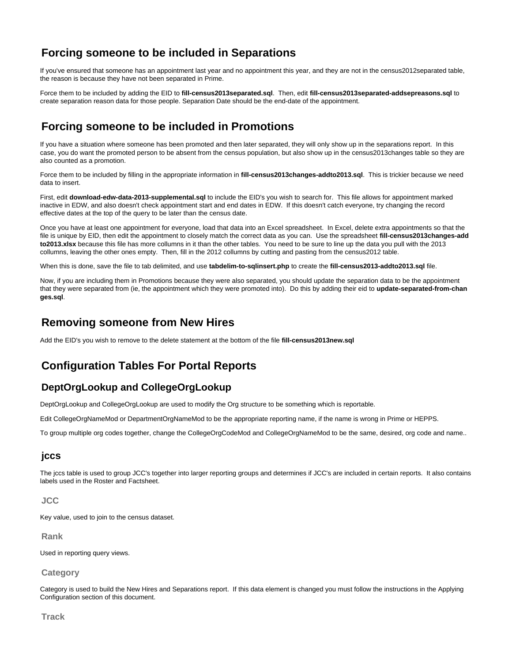# **Forcing someone to be included in Separations**

If you've ensured that someone has an appointment last year and no appointment this year, and they are not in the census2012separated table, the reason is because they have not been separated in Prime.

Force them to be included by adding the EID to **fill-census2013separated.sql**. Then, edit **fill-census2013separated-addsepreasons.sql** to create separation reason data for those people. Separation Date should be the end-date of the appointment.

# <span id="page-5-0"></span>**Forcing someone to be included in Promotions**

If you have a situation where someone has been promoted and then later separated, they will only show up in the separations report. In this case, you do want the promoted person to be absent from the census population, but also show up in the census2013changes table so they are also counted as a promotion.

Force them to be included by filling in the appropriate information in **fill-census2013changes-addto2013.sql**. This is trickier because we need data to insert.

First, edit **download-edw-data-2013-supplemental.sql** to include the EID's you wish to search for. This file allows for appointment marked inactive in EDW, and also doesn't check appointment start and end dates in EDW. If this doesn't catch everyone, try changing the record effective dates at the top of the query to be later than the census date.

Once you have at least one appointment for everyone, load that data into an Excel spreadsheet. In Excel, delete extra appointments so that the file is unique by EID, then edit the appointment to closely match the correct data as you can. Use the spreadsheet **fill-census2013changes-add to2013.xlsx** because this file has more collumns in it than the other tables. You need to be sure to line up the data you pull with the 2013 collumns, leaving the other ones empty. Then, fill in the 2012 collumns by cutting and pasting from the census2012 table.

When this is done, save the file to tab delimited, and use **tabdelim-to-sqlinsert.php** to create the **fill-census2013-addto2013.sql** file.

Now, if you are including them in Promotions because they were also separated, you should update the separation data to be the appointment that they were separated from (ie, the appointment which they were promoted into). Do this by adding their eid to **update-separated-from-chan ges.sql**.

## <span id="page-5-1"></span>**Removing someone from New Hires**

Add the EID's you wish to remove to the delete statement at the bottom of the file **fill-census2013new.sql**

# <span id="page-5-2"></span>**Configuration Tables For Portal Reports**

### <span id="page-5-3"></span>**DeptOrgLookup and CollegeOrgLookup**

DeptOrgLookup and CollegeOrgLookup are used to modify the Org structure to be something which is reportable.

Edit CollegeOrgNameMod or DepartmentOrgNameMod to be the appropriate reporting name, if the name is wrong in Prime or HEPPS.

To group multiple org codes together, change the CollegeOrgCodeMod and CollegeOrgNameMod to be the same, desired, org code and name..

### <span id="page-5-4"></span>**jccs**

The jccs table is used to group JCC's together into larger reporting groups and determines if JCC's are included in certain reports. It also contains labels used in the Roster and Factsheet.

<span id="page-5-5"></span>**JCC**

Key value, used to join to the census dataset.

<span id="page-5-6"></span>**Rank**

Used in reporting query views.

<span id="page-5-7"></span>**Category**

Category is used to build the New Hires and Separations report. If this data element is changed you must follow the instructions in the Applying Configuration section of this document.

<span id="page-5-8"></span>**Track**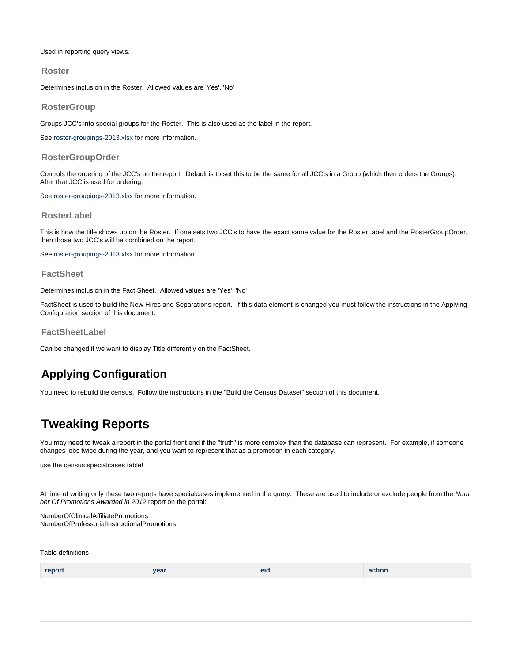Used in reporting query views.

### <span id="page-6-0"></span>**Roster**

Determines inclusion in the Roster. Allowed values are 'Yes', 'No'

### <span id="page-6-1"></span>**RosterGroup**

Groups JCC's into special groups for the Roster. This is also used as the label in the report.

See [roster-groupings-2013.xlsx](https://wiki.cac.washington.edu/download/attachments/55026745/roster-groupings-2013.xlsx?version=1&modificationDate=1387239385715&api=v2) for more information.

### <span id="page-6-2"></span>**RosterGroupOrder**

Controls the ordering of the JCC's on the report. Default is to set this to be the same for all JCC's in a Group (which then orders the Groups), After that JCC is used for ordering.

See [roster-groupings-2013.xlsx](https://wiki.cac.washington.edu/download/attachments/55026745/roster-groupings-2013.xlsx?version=1&modificationDate=1387239385715&api=v2) for more information.

### <span id="page-6-3"></span>**RosterLabel**

This is how the title shows up on the Roster. If one sets two JCC's to have the exact same value for the RosterLabel and the RosterGroupOrder, then those two JCC's will be combined on the report.

See [roster-groupings-2013.xlsx](https://wiki.cac.washington.edu/download/attachments/55026745/roster-groupings-2013.xlsx?version=1&modificationDate=1387239385715&api=v2) for more information.

#### <span id="page-6-4"></span>**FactSheet**

Determines inclusion in the Fact Sheet. Allowed values are 'Yes', 'No'

FactSheet is used to build the New Hires and Separations report. If this data element is changed you must follow the instructions in the Applying Configuration section of this document.

<span id="page-6-5"></span>**FactSheetLabel**

Can be changed if we want to display Title differently on the FactSheet.

## <span id="page-6-6"></span>**Applying Configuration**

You need to rebuild the census. Follow the instructions in the "Build the Census Dataset" section of this document.

# <span id="page-6-7"></span>**Tweaking Reports**

You may need to tweak a report in the portal front end if the "truth" is more complex than the database can represent. For example, if someone changes jobs twice during the year, and you want to represent that as a promotion in each category.

use the census.specialcases table!

At time of writing only these two reports have specialcases implemented in the query. These are used to include or exclude people from the Num ber Of Promotions Awarded in 2012 report on the portal:

NumberOfClinicalAffiliatePromotions NumberOfProfessorialInstructionalPromotions

Table definitions

| report | year | eid | action |
|--------|------|-----|--------|
|--------|------|-----|--------|